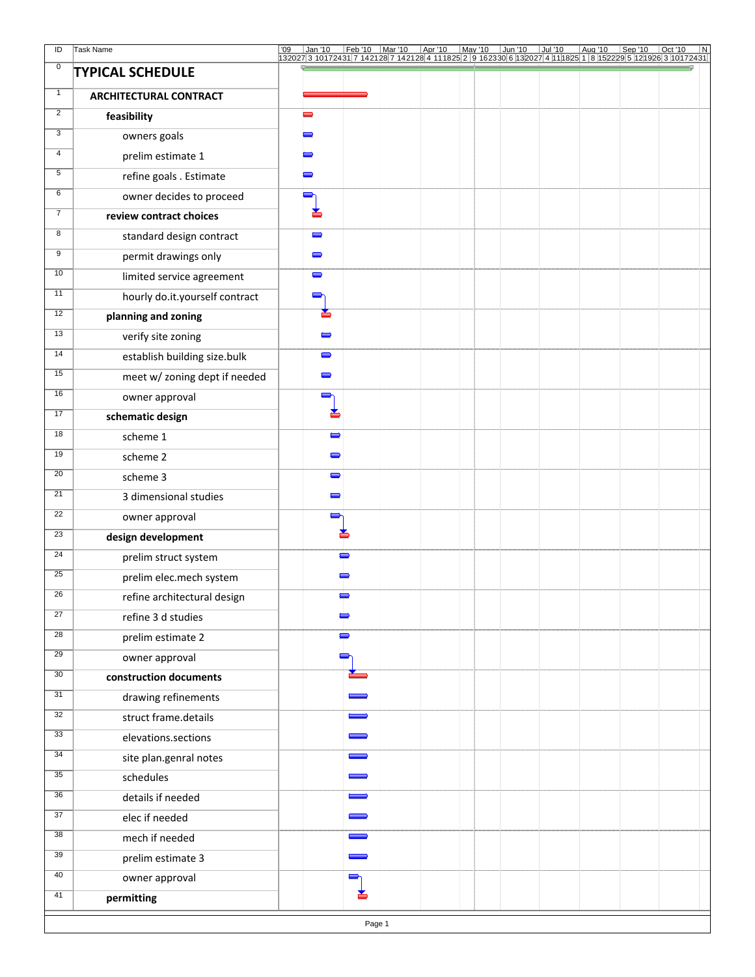| ID              | <b>Task Name</b>               | Jan '10<br>'09<br>132027 3 10 1724 31 7 14 21 28 7 14 21 28 4 11 1825 2 9 162330 6 132027 4 11 1825 1 8 152229 5 1219 26 3 10 1724 31 | Feb '10   Mar '10                                                                                                                                                                                                                                                                                                 | Apr '10 | May '10 Jun '10 | $ $ Jul '10 | Aug '10 | $\sqrt{\text{Sep}'10}$ | Oct '10<br>  N |
|-----------------|--------------------------------|---------------------------------------------------------------------------------------------------------------------------------------|-------------------------------------------------------------------------------------------------------------------------------------------------------------------------------------------------------------------------------------------------------------------------------------------------------------------|---------|-----------------|-------------|---------|------------------------|----------------|
| $\pmb{0}$       | <b>TYPICAL SCHEDULE</b>        |                                                                                                                                       |                                                                                                                                                                                                                                                                                                                   |         |                 |             |         |                        |                |
| $\mathbf{1}$    | <b>ARCHITECTURAL CONTRACT</b>  |                                                                                                                                       |                                                                                                                                                                                                                                                                                                                   |         |                 |             |         |                        |                |
| $\overline{2}$  | feasibility                    | ∍                                                                                                                                     |                                                                                                                                                                                                                                                                                                                   |         |                 |             |         |                        |                |
| $\overline{3}$  | owners goals                   |                                                                                                                                       |                                                                                                                                                                                                                                                                                                                   |         |                 |             |         |                        |                |
| 4               | prelim estimate 1              | U                                                                                                                                     |                                                                                                                                                                                                                                                                                                                   |         |                 |             |         |                        |                |
| 5               | refine goals . Estimate        |                                                                                                                                       |                                                                                                                                                                                                                                                                                                                   |         |                 |             |         |                        |                |
| 6               | owner decides to proceed       |                                                                                                                                       |                                                                                                                                                                                                                                                                                                                   |         |                 |             |         |                        |                |
| $\overline{7}$  | review contract choices        | 古                                                                                                                                     |                                                                                                                                                                                                                                                                                                                   |         |                 |             |         |                        |                |
| 8               | standard design contract       | $\blacksquare$                                                                                                                        |                                                                                                                                                                                                                                                                                                                   |         |                 |             |         |                        |                |
| 9               | permit drawings only           | $\blacksquare$                                                                                                                        |                                                                                                                                                                                                                                                                                                                   |         |                 |             |         |                        |                |
| 10              | limited service agreement      | $\blacksquare$                                                                                                                        |                                                                                                                                                                                                                                                                                                                   |         |                 |             |         |                        |                |
| 11              | hourly do.it.yourself contract |                                                                                                                                       |                                                                                                                                                                                                                                                                                                                   |         |                 |             |         |                        |                |
| 12              | planning and zoning            | š                                                                                                                                     |                                                                                                                                                                                                                                                                                                                   |         |                 |             |         |                        |                |
| 13              | verify site zoning             | $\blacksquare$                                                                                                                        |                                                                                                                                                                                                                                                                                                                   |         |                 |             |         |                        |                |
| 14              | establish building size.bulk   | $\blacksquare$                                                                                                                        |                                                                                                                                                                                                                                                                                                                   |         |                 |             |         |                        |                |
| 15              | meet w/ zoning dept if needed  | $\blacksquare$                                                                                                                        |                                                                                                                                                                                                                                                                                                                   |         |                 |             |         |                        |                |
| 16              | owner approval                 | -                                                                                                                                     |                                                                                                                                                                                                                                                                                                                   |         |                 |             |         |                        |                |
| 17              | schematic design               | ≚                                                                                                                                     |                                                                                                                                                                                                                                                                                                                   |         |                 |             |         |                        |                |
| 18              | scheme 1                       | ⊏                                                                                                                                     |                                                                                                                                                                                                                                                                                                                   |         |                 |             |         |                        |                |
| 19              | scheme 2                       |                                                                                                                                       | 0                                                                                                                                                                                                                                                                                                                 |         |                 |             |         |                        |                |
| $\overline{20}$ | scheme 3                       |                                                                                                                                       | $\blacksquare$                                                                                                                                                                                                                                                                                                    |         |                 |             |         |                        |                |
| 21              | 3 dimensional studies          |                                                                                                                                       | D                                                                                                                                                                                                                                                                                                                 |         |                 |             |         |                        |                |
| $\overline{22}$ | owner approval                 |                                                                                                                                       | 0                                                                                                                                                                                                                                                                                                                 |         |                 |             |         |                        |                |
| 23              | design development             |                                                                                                                                       |                                                                                                                                                                                                                                                                                                                   |         |                 |             |         |                        |                |
| 24              | prelim struct system           |                                                                                                                                       |                                                                                                                                                                                                                                                                                                                   |         |                 |             |         |                        |                |
| 25              | prelim elec.mech system        |                                                                                                                                       |                                                                                                                                                                                                                                                                                                                   |         |                 |             |         |                        |                |
| 26              | refine architectural design    |                                                                                                                                       |                                                                                                                                                                                                                                                                                                                   |         |                 |             |         |                        |                |
| $\overline{27}$ | refine 3 d studies             |                                                                                                                                       |                                                                                                                                                                                                                                                                                                                   |         |                 |             |         |                        |                |
| 28              | prelim estimate 2              |                                                                                                                                       |                                                                                                                                                                                                                                                                                                                   |         |                 |             |         |                        |                |
| $\overline{29}$ | owner approval                 |                                                                                                                                       |                                                                                                                                                                                                                                                                                                                   |         |                 |             |         |                        |                |
| 30              | construction documents         |                                                                                                                                       |                                                                                                                                                                                                                                                                                                                   |         |                 |             |         |                        |                |
| 31              | drawing refinements            |                                                                                                                                       |                                                                                                                                                                                                                                                                                                                   |         |                 |             |         |                        |                |
| 32              | struct frame.details           |                                                                                                                                       | $\qquad \qquad \Box$                                                                                                                                                                                                                                                                                              |         |                 |             |         |                        |                |
| 33              | elevations.sections            |                                                                                                                                       | l                                                                                                                                                                                                                                                                                                                 |         |                 |             |         |                        |                |
| 34              | site plan.genral notes         |                                                                                                                                       | I                                                                                                                                                                                                                                                                                                                 |         |                 |             |         |                        |                |
| 35              | schedules                      |                                                                                                                                       | $\hspace{0.05cm}$ $\hspace{0.05cm}$ $\hspace{0.05cm}$ $\hspace{0.05cm}$ $\hspace{0.05cm}$ $\hspace{0.05cm}$ $\hspace{0.05cm}$ $\hspace{0.05cm}$ $\hspace{0.05cm}$ $\hspace{0.05cm}$ $\hspace{0.05cm}$ $\hspace{0.05cm}$ $\hspace{0.05cm}$ $\hspace{0.05cm}$ $\hspace{0.05cm}$ $\hspace{0.05cm}$ $\hspace{0.05cm}$ |         |                 |             |         |                        |                |
| 36              | details if needed              |                                                                                                                                       | $\hspace{1.5cm} = \hspace{1.5cm}$                                                                                                                                                                                                                                                                                 |         |                 |             |         |                        |                |
| 37              | elec if needed                 |                                                                                                                                       |                                                                                                                                                                                                                                                                                                                   |         |                 |             |         |                        |                |
| 38              | mech if needed                 |                                                                                                                                       | $\qquad \qquad \Box$                                                                                                                                                                                                                                                                                              |         |                 |             |         |                        |                |
| 39              | prelim estimate 3              |                                                                                                                                       | $\overline{\phantom{a}}$                                                                                                                                                                                                                                                                                          |         |                 |             |         |                        |                |
| 40              | owner approval                 |                                                                                                                                       | o,                                                                                                                                                                                                                                                                                                                |         |                 |             |         |                        |                |
| 41              | permitting                     |                                                                                                                                       | 촙                                                                                                                                                                                                                                                                                                                 |         |                 |             |         |                        |                |
|                 |                                |                                                                                                                                       | Page 1                                                                                                                                                                                                                                                                                                            |         |                 |             |         |                        |                |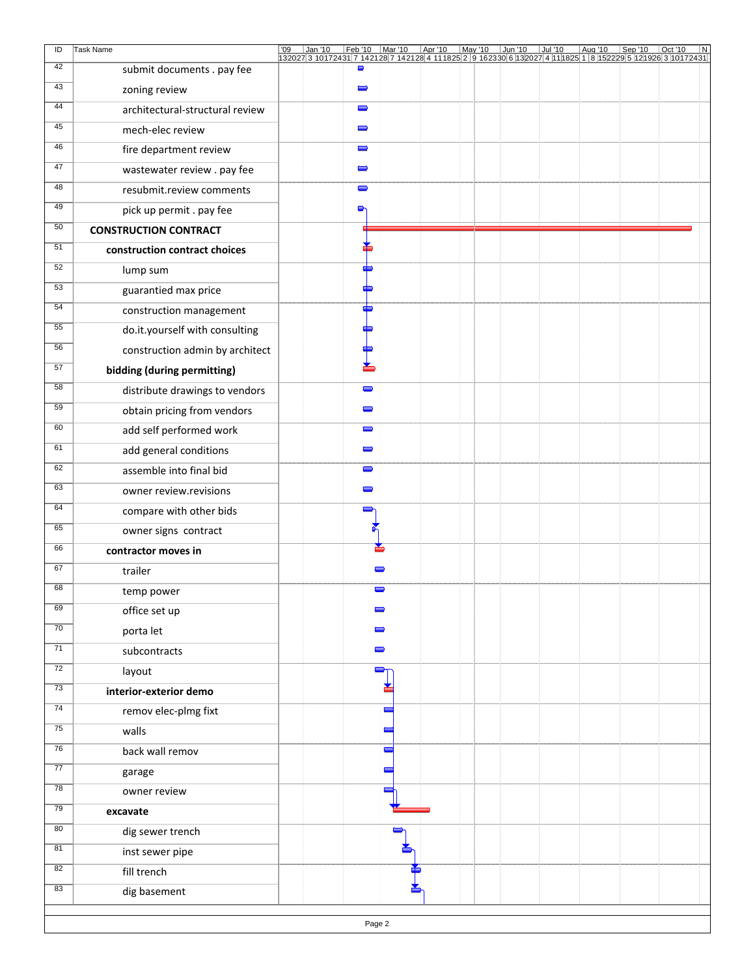| 42<br>submit documents . pay fee<br>43<br>zoning review |  | 0              |                |  | 132027 3 10 172431 7 14 21 28 7 14 21 28 4 11 1825 2 9 1623 30 6 13 20 7 4 11 18 25 1 8 15 22 29 5 12 19 26 3 10 17 24 31 |  |  |
|---------------------------------------------------------|--|----------------|----------------|--|---------------------------------------------------------------------------------------------------------------------------|--|--|
|                                                         |  |                |                |  |                                                                                                                           |  |  |
|                                                         |  | $\blacksquare$ |                |  |                                                                                                                           |  |  |
| 44<br>architectural-structural review                   |  | O              |                |  |                                                                                                                           |  |  |
| 45<br>mech-elec review                                  |  | 0              |                |  |                                                                                                                           |  |  |
| 46<br>fire department review                            |  | $\blacksquare$ |                |  |                                                                                                                           |  |  |
| 47<br>wastewater review . pay fee                       |  | $\blacksquare$ |                |  |                                                                                                                           |  |  |
| 48<br>resubmit.review comments                          |  | $\blacksquare$ |                |  |                                                                                                                           |  |  |
| 49<br>pick up permit . pay fee                          |  | ∍              |                |  |                                                                                                                           |  |  |
| 50<br><b>CONSTRUCTION CONTRACT</b>                      |  |                |                |  |                                                                                                                           |  |  |
| 51<br>construction contract choices                     |  | ě              |                |  |                                                                                                                           |  |  |
| 52<br>lump sum                                          |  | ¢              |                |  |                                                                                                                           |  |  |
| 53<br>guarantied max price                              |  | ها             |                |  |                                                                                                                           |  |  |
| 54<br>construction management                           |  | ⇔              |                |  |                                                                                                                           |  |  |
| 55<br>do.it.yourself with consulting                    |  | ض              |                |  |                                                                                                                           |  |  |
| 56<br>construction admin by architect                   |  | ₽              |                |  |                                                                                                                           |  |  |
| 57<br>bidding (during permitting)                       |  | ┻              |                |  |                                                                                                                           |  |  |
| 58<br>distribute drawings to vendors                    |  | $\blacksquare$ |                |  |                                                                                                                           |  |  |
| 59<br>obtain pricing from vendors                       |  | $\blacksquare$ |                |  |                                                                                                                           |  |  |
| 60<br>add self performed work                           |  | $\blacksquare$ |                |  |                                                                                                                           |  |  |
| 61<br>add general conditions                            |  | $\blacksquare$ |                |  |                                                                                                                           |  |  |
| 62<br>assemble into final bid                           |  | $\blacksquare$ |                |  |                                                                                                                           |  |  |
| 63<br>owner review.revisions                            |  | $\blacksquare$ |                |  |                                                                                                                           |  |  |
| 64<br>compare with other bids                           |  | ņ              |                |  |                                                                                                                           |  |  |
| 65<br>owner signs contract                              |  | ¥              |                |  |                                                                                                                           |  |  |
| 66<br>contractor moves in                               |  |                |                |  |                                                                                                                           |  |  |
| 67<br>trailer                                           |  |                |                |  |                                                                                                                           |  |  |
| 68<br>temp power                                        |  |                | 0              |  |                                                                                                                           |  |  |
| 69<br>office set up                                     |  |                |                |  |                                                                                                                           |  |  |
| 70<br>porta let                                         |  |                | 0              |  |                                                                                                                           |  |  |
| 71<br>subcontracts                                      |  |                |                |  |                                                                                                                           |  |  |
| 72<br>layout                                            |  |                | ç.<br>▟        |  |                                                                                                                           |  |  |
| $\overline{73}$<br>interior-exterior demo               |  |                |                |  |                                                                                                                           |  |  |
| 74<br>remov elec-plmg fixt                              |  |                | $\blacksquare$ |  |                                                                                                                           |  |  |
| 75<br>walls                                             |  |                | ⊏              |  |                                                                                                                           |  |  |
| 76<br>back wall remov                                   |  |                | 0              |  |                                                                                                                           |  |  |
| 77<br>garage                                            |  |                | ⊏              |  |                                                                                                                           |  |  |
| 78<br>owner review                                      |  |                | ▭              |  |                                                                                                                           |  |  |
| 79<br>excavate                                          |  |                |                |  |                                                                                                                           |  |  |
| 80<br>dig sewer trench                                  |  |                |                |  |                                                                                                                           |  |  |
| 81<br>inst sewer pipe                                   |  |                |                |  |                                                                                                                           |  |  |
| 82<br>fill trench                                       |  |                |                |  |                                                                                                                           |  |  |
| 83<br>dig basement                                      |  |                |                |  |                                                                                                                           |  |  |
|                                                         |  | Page 2         |                |  |                                                                                                                           |  |  |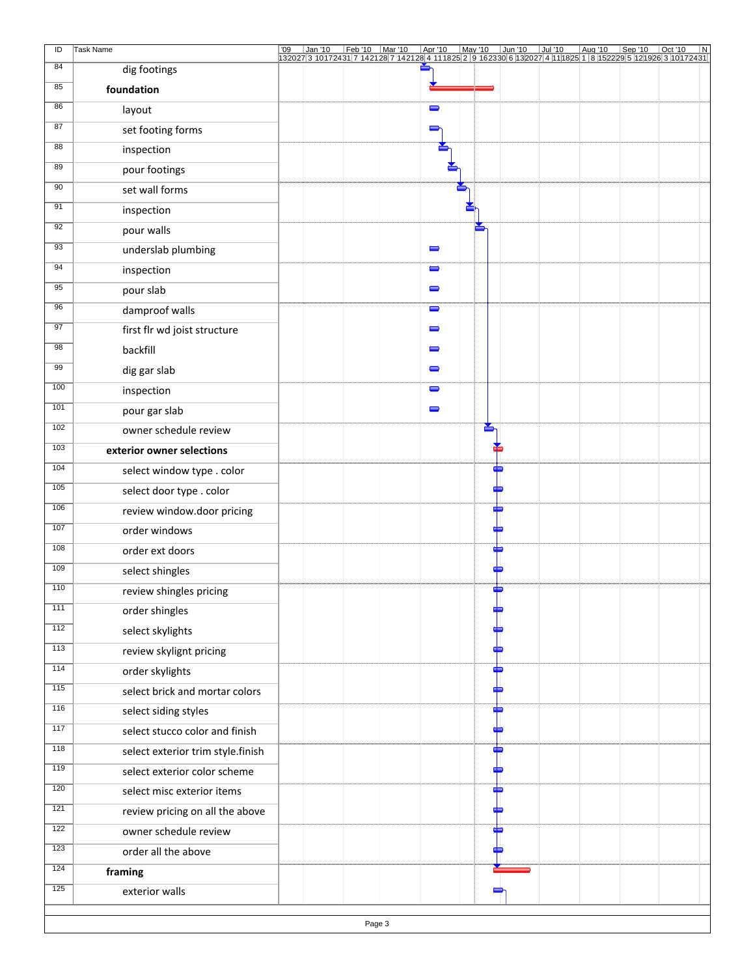| ID  | <b>Task Name</b>                  | '09 | Jan '10 | Feb'10 | Mar '10 | Apr '10        | May '10 | $\vert$ Jun '10 | Jul '10<br>132027 3 10 172431 7 14 21 28 7 14 21 28 4 11 18 25 2 9 16 23 30 6 13 20 7 4 11 18 25 1 8 15 22 29 5 12 19 26 3 10 17 24 31 | Aug '10 | $\sqrt{\text{Sep}'10}$ | Oct '10 | N |
|-----|-----------------------------------|-----|---------|--------|---------|----------------|---------|-----------------|----------------------------------------------------------------------------------------------------------------------------------------|---------|------------------------|---------|---|
| 84  | dig footings                      |     |         |        |         |                |         |                 |                                                                                                                                        |         |                        |         |   |
| 85  | foundation                        |     |         |        |         |                |         |                 |                                                                                                                                        |         |                        |         |   |
| 86  | layout                            |     |         |        |         | $\blacksquare$ |         |                 |                                                                                                                                        |         |                        |         |   |
| 87  | set footing forms                 |     |         |        |         |                |         |                 |                                                                                                                                        |         |                        |         |   |
| 88  | inspection                        |     |         |        |         | š.             |         |                 |                                                                                                                                        |         |                        |         |   |
| 89  | pour footings                     |     |         |        |         |                |         |                 |                                                                                                                                        |         |                        |         |   |
| 90  | set wall forms                    |     |         |        |         |                |         |                 |                                                                                                                                        |         |                        |         |   |
| 91  | inspection                        |     |         |        |         |                | 峇       |                 |                                                                                                                                        |         |                        |         |   |
| 92  | pour walls                        |     |         |        |         |                |         |                 |                                                                                                                                        |         |                        |         |   |
| 93  | underslab plumbing                |     |         |        |         | $\blacksquare$ |         |                 |                                                                                                                                        |         |                        |         |   |
| 94  | inspection                        |     |         |        |         | $\blacksquare$ |         |                 |                                                                                                                                        |         |                        |         |   |
| 95  | pour slab                         |     |         |        |         | $\blacksquare$ |         |                 |                                                                                                                                        |         |                        |         |   |
| 96  | damproof walls                    |     |         |        |         | $\blacksquare$ |         |                 |                                                                                                                                        |         |                        |         |   |
| 97  | first flr wd joist structure      |     |         |        |         | $\blacksquare$ |         |                 |                                                                                                                                        |         |                        |         |   |
| 98  | backfill                          |     |         |        |         | O              |         |                 |                                                                                                                                        |         |                        |         |   |
| 99  | dig gar slab                      |     |         |        |         | $\blacksquare$ |         |                 |                                                                                                                                        |         |                        |         |   |
| 100 | inspection                        |     |         |        |         | $\blacksquare$ |         |                 |                                                                                                                                        |         |                        |         |   |
| 101 | pour gar slab                     |     |         |        |         | $\blacksquare$ |         |                 |                                                                                                                                        |         |                        |         |   |
| 102 | owner schedule review             |     |         |        |         |                | č.      |                 |                                                                                                                                        |         |                        |         |   |
| 103 | exterior owner selections         |     |         |        |         |                |         |                 |                                                                                                                                        |         |                        |         |   |
| 104 | select window type . color        |     |         |        |         |                |         |                 |                                                                                                                                        |         |                        |         |   |
| 105 | select door type . color          |     |         |        |         |                |         |                 |                                                                                                                                        |         |                        |         |   |
| 106 | review window.door pricing        |     |         |        |         |                |         | œ               |                                                                                                                                        |         |                        |         |   |
| 107 | order windows                     |     |         |        |         |                |         |                 |                                                                                                                                        |         |                        |         |   |
| 108 | order ext doors                   |     |         |        |         |                |         |                 |                                                                                                                                        |         |                        |         |   |
| 109 | select shingles                   |     |         |        |         |                |         |                 |                                                                                                                                        |         |                        |         |   |
| 110 | review shingles pricing           |     |         |        |         |                |         | ضه              |                                                                                                                                        |         |                        |         |   |
| 111 | order shingles                    |     |         |        |         |                |         |                 |                                                                                                                                        |         |                        |         |   |
| 112 | select skylights                  |     |         |        |         |                |         | ض               |                                                                                                                                        |         |                        |         |   |
| 113 | review skylignt pricing           |     |         |        |         |                |         |                 |                                                                                                                                        |         |                        |         |   |
| 114 | order skylights                   |     |         |        |         |                |         |                 |                                                                                                                                        |         |                        |         |   |
| 115 | select brick and mortar colors    |     |         |        |         |                |         |                 |                                                                                                                                        |         |                        |         |   |
| 116 | select siding styles              |     |         |        |         |                |         |                 |                                                                                                                                        |         |                        |         |   |
| 117 | select stucco color and finish    |     |         |        |         |                |         |                 |                                                                                                                                        |         |                        |         |   |
| 118 | select exterior trim style.finish |     |         |        |         |                |         | æ               |                                                                                                                                        |         |                        |         |   |
| 119 | select exterior color scheme      |     |         |        |         |                |         |                 |                                                                                                                                        |         |                        |         |   |
| 120 | select misc exterior items        |     |         |        |         |                |         |                 |                                                                                                                                        |         |                        |         |   |
| 121 | review pricing on all the above   |     |         |        |         |                |         |                 |                                                                                                                                        |         |                        |         |   |
| 122 | owner schedule review             |     |         |        |         |                |         |                 |                                                                                                                                        |         |                        |         |   |
| 123 | order all the above               |     |         |        |         |                |         |                 |                                                                                                                                        |         |                        |         |   |
| 124 | framing                           |     |         |        |         |                |         |                 |                                                                                                                                        |         |                        |         |   |
| 125 | exterior walls                    |     |         |        |         |                |         |                 |                                                                                                                                        |         |                        |         |   |
|     |                                   |     |         |        |         |                |         |                 |                                                                                                                                        |         |                        |         |   |
|     |                                   |     |         | Page 3 |         |                |         |                 |                                                                                                                                        |         |                        |         |   |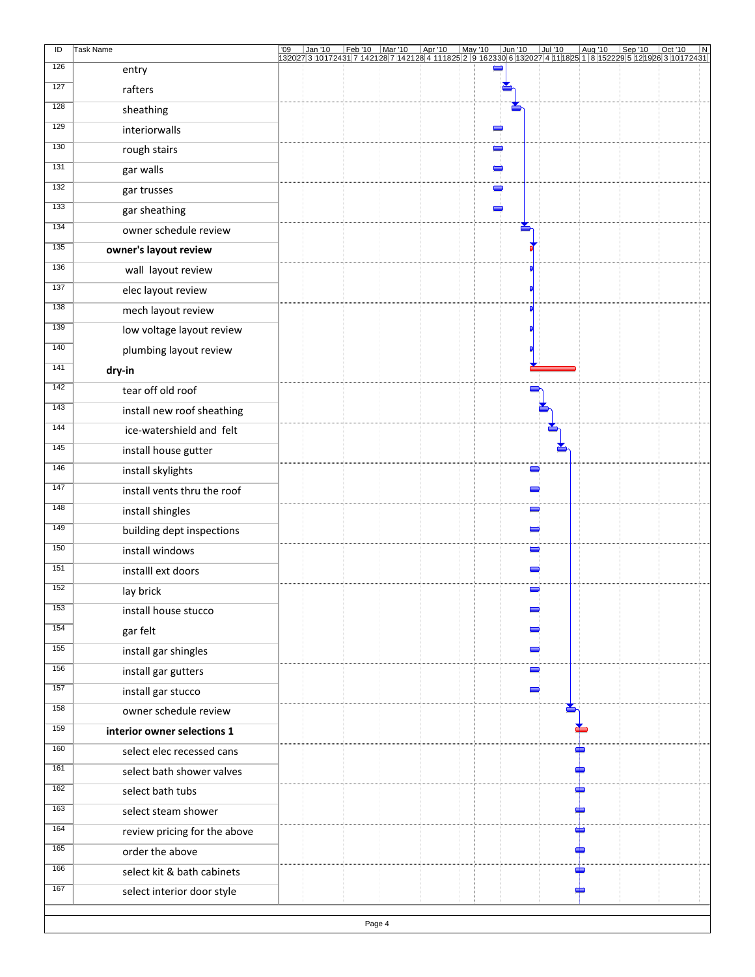| ID               | <b>Task Name</b>             | '09 | Jan '10 | Feb '10 | Mar '10 | Apr '10 | May '10<br>132027 3 10 17 2431 7 14 21 28 7 14 21 28 4 11 125 2 9 16 23 30 6 13 20 2 4 11 18 25 1 8 15 22 29 5 12 19 26 3 10 17 2431 | $\vert$ Jun '10 | Jul '10 | Aug '10 | $\sqrt{\text{Sep }10}$ | Oct '10 | N |
|------------------|------------------------------|-----|---------|---------|---------|---------|--------------------------------------------------------------------------------------------------------------------------------------|-----------------|---------|---------|------------------------|---------|---|
| 126              | entry                        |     |         |         |         |         |                                                                                                                                      |                 |         |         |                        |         |   |
| 127              | rafters                      |     |         |         |         |         |                                                                                                                                      |                 |         |         |                        |         |   |
| 128              | sheathing                    |     |         |         |         |         |                                                                                                                                      | ڪ               |         |         |                        |         |   |
| 129              | interiorwalls                |     |         |         |         |         |                                                                                                                                      |                 |         |         |                        |         |   |
| 130              | rough stairs                 |     |         |         |         |         |                                                                                                                                      | O               |         |         |                        |         |   |
| 131              | gar walls                    |     |         |         |         |         |                                                                                                                                      |                 |         |         |                        |         |   |
| $\overline{132}$ | gar trusses                  |     |         |         |         |         |                                                                                                                                      |                 |         |         |                        |         |   |
| 133              | gar sheathing                |     |         |         |         |         |                                                                                                                                      |                 |         |         |                        |         |   |
| 134              | owner schedule review        |     |         |         |         |         |                                                                                                                                      | 5               |         |         |                        |         |   |
| 135              | owner's layout review        |     |         |         |         |         |                                                                                                                                      |                 |         |         |                        |         |   |
| 136              | wall layout review           |     |         |         |         |         |                                                                                                                                      |                 |         |         |                        |         |   |
| 137              | elec layout review           |     |         |         |         |         |                                                                                                                                      |                 |         |         |                        |         |   |
| 138              | mech layout review           |     |         |         |         |         |                                                                                                                                      |                 |         |         |                        |         |   |
| 139              | low voltage layout review    |     |         |         |         |         |                                                                                                                                      |                 |         |         |                        |         |   |
| 140              | plumbing layout review       |     |         |         |         |         |                                                                                                                                      |                 |         |         |                        |         |   |
| 141              | dry-in                       |     |         |         |         |         |                                                                                                                                      |                 |         |         |                        |         |   |
| 142              | tear off old roof            |     |         |         |         |         |                                                                                                                                      |                 |         |         |                        |         |   |
| 143              | install new roof sheathing   |     |         |         |         |         |                                                                                                                                      |                 |         |         |                        |         |   |
| 144              | ice-watershield and felt     |     |         |         |         |         |                                                                                                                                      |                 |         |         |                        |         |   |
| 145              | install house gutter         |     |         |         |         |         |                                                                                                                                      |                 | ě       |         |                        |         |   |
| 146              | install skylights            |     |         |         |         |         |                                                                                                                                      | $\equiv$        |         |         |                        |         |   |
| 147              | install vents thru the roof  |     |         |         |         |         |                                                                                                                                      |                 |         |         |                        |         |   |
| 148              | install shingles             |     |         |         |         |         |                                                                                                                                      | $\blacksquare$  |         |         |                        |         |   |
| 149              | building dept inspections    |     |         |         |         |         |                                                                                                                                      |                 |         |         |                        |         |   |
| 150              | install windows              |     |         |         |         |         |                                                                                                                                      |                 |         |         |                        |         |   |
| 151              | installl ext doors           |     |         |         |         |         |                                                                                                                                      |                 |         |         |                        |         |   |
| 152              | lay brick                    |     |         |         |         |         |                                                                                                                                      |                 |         |         |                        |         |   |
| 153              | install house stucco         |     |         |         |         |         |                                                                                                                                      |                 |         |         |                        |         |   |
| 154              | gar felt                     |     |         |         |         |         |                                                                                                                                      | $\blacksquare$  |         |         |                        |         |   |
| 155              | install gar shingles         |     |         |         |         |         |                                                                                                                                      |                 |         |         |                        |         |   |
| 156              | install gar gutters          |     |         |         |         |         |                                                                                                                                      | $\blacksquare$  |         |         |                        |         |   |
| 157              | install gar stucco           |     |         |         |         |         |                                                                                                                                      | 0               |         |         |                        |         |   |
| 158              | owner schedule review        |     |         |         |         |         |                                                                                                                                      |                 |         |         |                        |         |   |
| 159              | interior owner selections 1  |     |         |         |         |         |                                                                                                                                      |                 |         |         |                        |         |   |
| 160              | select elec recessed cans    |     |         |         |         |         |                                                                                                                                      |                 |         |         |                        |         |   |
| 161              | select bath shower valves    |     |         |         |         |         |                                                                                                                                      |                 |         |         |                        |         |   |
| 162              | select bath tubs             |     |         |         |         |         |                                                                                                                                      |                 |         |         |                        |         |   |
| 163              | select steam shower          |     |         |         |         |         |                                                                                                                                      |                 |         |         |                        |         |   |
| 164              | review pricing for the above |     |         |         |         |         |                                                                                                                                      |                 |         |         |                        |         |   |
| 165              | order the above              |     |         |         |         |         |                                                                                                                                      |                 |         |         |                        |         |   |
| 166              | select kit & bath cabinets   |     |         |         |         |         |                                                                                                                                      |                 |         |         |                        |         |   |
| 167              | select interior door style   |     |         |         |         |         |                                                                                                                                      |                 |         |         |                        |         |   |
|                  |                              |     |         | Page /  |         |         |                                                                                                                                      |                 |         |         |                        |         |   |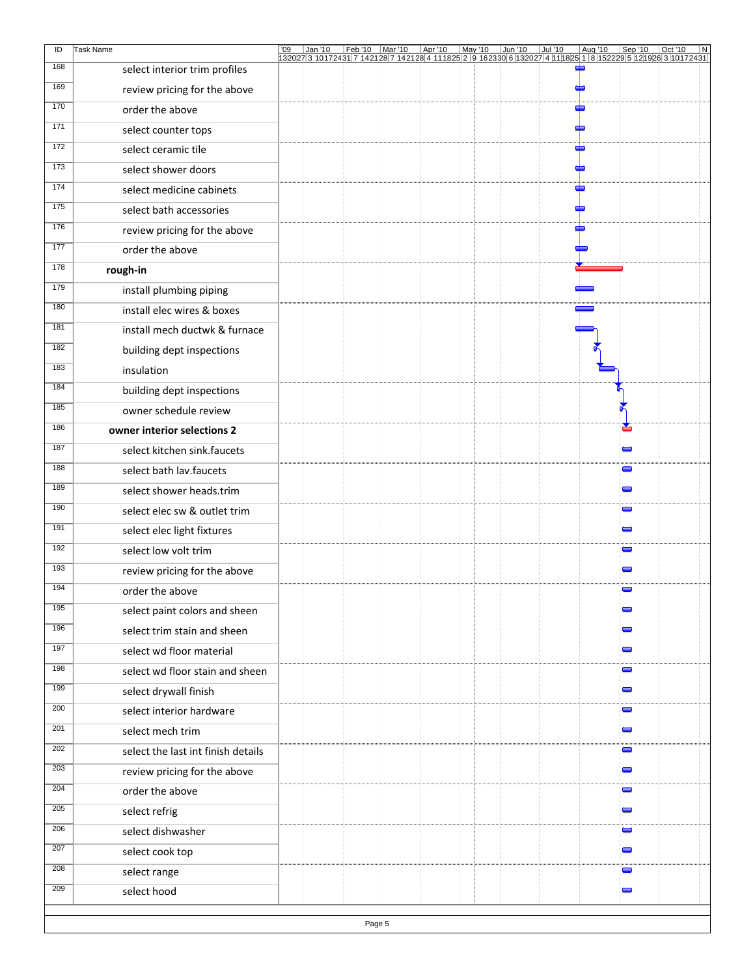| ID  | <b>Task Name</b>                   | '09 | Jan '10 | Feb '10   Mar '10 | Apr '10 | May '10 | $\vert$ Jun '10 | $ $ Jul '10 | Aug '10 | $\sqrt{\text{Sep}'10}$ | Oct '10<br> N<br>132027 3 10 17 2431 7 14 21 28 7 14 21 28 4 11 18 25 2 9 16 23 30 6 13 20 27 4 11 18 25 1 8 15 22 29 5 12 19 26 3 10 17 2431 |
|-----|------------------------------------|-----|---------|-------------------|---------|---------|-----------------|-------------|---------|------------------------|-----------------------------------------------------------------------------------------------------------------------------------------------|
| 168 | select interior trim profiles      |     |         |                   |         |         |                 |             |         |                        |                                                                                                                                               |
| 169 | review pricing for the above       |     |         |                   |         |         |                 |             |         |                        |                                                                                                                                               |
| 170 | order the above                    |     |         |                   |         |         |                 |             |         |                        |                                                                                                                                               |
| 171 | select counter tops                |     |         |                   |         |         |                 |             |         |                        |                                                                                                                                               |
| 172 | select ceramic tile                |     |         |                   |         |         |                 |             |         |                        |                                                                                                                                               |
| 173 | select shower doors                |     |         |                   |         |         |                 |             |         |                        |                                                                                                                                               |
| 174 | select medicine cabinets           |     |         |                   |         |         |                 |             |         |                        |                                                                                                                                               |
| 175 | select bath accessories            |     |         |                   |         |         |                 |             |         |                        |                                                                                                                                               |
| 176 | review pricing for the above       |     |         |                   |         |         |                 |             |         |                        |                                                                                                                                               |
| 177 | order the above                    |     |         |                   |         |         |                 |             |         |                        |                                                                                                                                               |
| 178 | rough-in                           |     |         |                   |         |         |                 |             |         |                        |                                                                                                                                               |
| 179 | install plumbing piping            |     |         |                   |         |         |                 |             |         |                        |                                                                                                                                               |
| 180 | install elec wires & boxes         |     |         |                   |         |         |                 |             |         |                        |                                                                                                                                               |
| 181 | install mech ductwk & furnace      |     |         |                   |         |         |                 |             |         |                        |                                                                                                                                               |
| 182 | building dept inspections          |     |         |                   |         |         |                 |             |         |                        |                                                                                                                                               |
| 183 | insulation                         |     |         |                   |         |         |                 |             |         |                        |                                                                                                                                               |
| 184 | building dept inspections          |     |         |                   |         |         |                 |             |         |                        |                                                                                                                                               |
| 185 | owner schedule review              |     |         |                   |         |         |                 |             |         |                        |                                                                                                                                               |
| 186 | owner interior selections 2        |     |         |                   |         |         |                 |             |         |                        |                                                                                                                                               |
| 187 | select kitchen sink.faucets        |     |         |                   |         |         |                 |             |         | $\blacksquare$         |                                                                                                                                               |
| 188 | select bath lav.faucets            |     |         |                   |         |         |                 |             |         | $\blacksquare$         |                                                                                                                                               |
| 189 | select shower heads.trim           |     |         |                   |         |         |                 |             |         | $\blacksquare$         |                                                                                                                                               |
| 190 | select elec sw & outlet trim       |     |         |                   |         |         |                 |             |         | $\blacksquare$         |                                                                                                                                               |
| 191 | select elec light fixtures         |     |         |                   |         |         |                 |             |         | $\blacksquare$         |                                                                                                                                               |
| 192 | select low volt trim               |     |         |                   |         |         |                 |             |         | $\blacksquare$         |                                                                                                                                               |
| 193 | review pricing for the above       |     |         |                   |         |         |                 |             |         |                        |                                                                                                                                               |
| 194 | order the above                    |     |         |                   |         |         |                 |             |         | $\Box$                 |                                                                                                                                               |
| 195 | select paint colors and sheen      |     |         |                   |         |         |                 |             |         | $\blacksquare$         |                                                                                                                                               |
| 196 | select trim stain and sheen        |     |         |                   |         |         |                 |             |         | $\blacksquare$         |                                                                                                                                               |
| 197 | select wd floor material           |     |         |                   |         |         |                 |             |         | $\blacksquare$         |                                                                                                                                               |
| 198 | select wd floor stain and sheen    |     |         |                   |         |         |                 |             |         | $\blacksquare$         |                                                                                                                                               |
| 199 | select drywall finish              |     |         |                   |         |         |                 |             |         | $\blacksquare$         |                                                                                                                                               |
| 200 | select interior hardware           |     |         |                   |         |         |                 |             |         | $\blacksquare$         |                                                                                                                                               |
| 201 | select mech trim                   |     |         |                   |         |         |                 |             |         | $\blacksquare$         |                                                                                                                                               |
| 202 | select the last int finish details |     |         |                   |         |         |                 |             |         | $\blacksquare$         |                                                                                                                                               |
| 203 | review pricing for the above       |     |         |                   |         |         |                 |             |         | $\blacksquare$         |                                                                                                                                               |
| 204 | order the above                    |     |         |                   |         |         |                 |             |         | $\blacksquare$         |                                                                                                                                               |
| 205 | select refrig                      |     |         |                   |         |         |                 |             |         | $\blacksquare$         |                                                                                                                                               |
| 206 | select dishwasher                  |     |         |                   |         |         |                 |             |         | $\blacksquare$         |                                                                                                                                               |
| 207 | select cook top                    |     |         |                   |         |         |                 |             |         | $\blacksquare$         |                                                                                                                                               |
| 208 | select range                       |     |         |                   |         |         |                 |             |         | $\blacksquare$         |                                                                                                                                               |
| 209 | select hood                        |     |         |                   |         |         |                 |             |         | $\blacksquare$         |                                                                                                                                               |
|     |                                    |     |         | Page 5            |         |         |                 |             |         |                        |                                                                                                                                               |